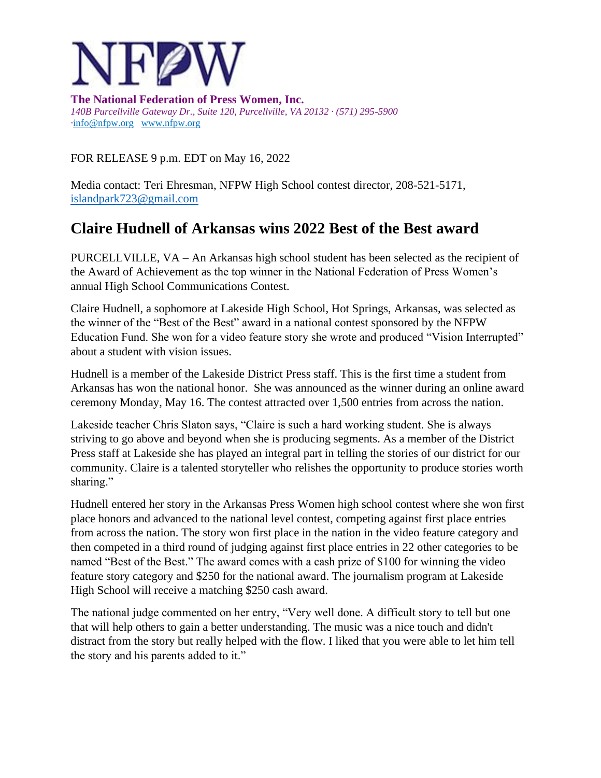

**The National Federation of Press Women, Inc.** *140B Purcellville Gateway Dr., Suite 120, Purcellville, VA 20132 · (571) 295-5900 ·*[info@nfpw.org](mailto:info@nfpw.org)[www.nfpw.org](http://www.nfpw.org/)

FOR RELEASE 9 p.m. EDT on May 16, 2022

Media contact: Teri Ehresman, NFPW High School contest director, 208-521-5171, [islandpark723@gmail.com](mailto:islandpark723@gmail.com)

## **Claire Hudnell of Arkansas wins 2022 Best of the Best award**

PURCELLVILLE, VA – An Arkansas high school student has been selected as the recipient of the Award of Achievement as the top winner in the National Federation of Press Women's annual High School Communications Contest.

Claire Hudnell, a sophomore at Lakeside High School, Hot Springs, Arkansas, was selected as the winner of the "Best of the Best" award in a national contest sponsored by the NFPW Education Fund. She won for a video feature story she wrote and produced "Vision Interrupted" about a student with vision issues.

Hudnell is a member of the Lakeside District Press staff. This is the first time a student from Arkansas has won the national honor. She was announced as the winner during an online award ceremony Monday, May 16. The contest attracted over 1,500 entries from across the nation.

Lakeside teacher Chris Slaton says, "Claire is such a hard working student. She is always striving to go above and beyond when she is producing segments. As a member of the District Press staff at Lakeside she has played an integral part in telling the stories of our district for our community. Claire is a talented storyteller who relishes the opportunity to produce stories worth sharing."

Hudnell entered her story in the Arkansas Press Women high school contest where she won first place honors and advanced to the national level contest, competing against first place entries from across the nation. The story won first place in the nation in the video feature category and then competed in a third round of judging against first place entries in 22 other categories to be named "Best of the Best." The award comes with a cash prize of \$100 for winning the video feature story category and \$250 for the national award. The journalism program at Lakeside High School will receive a matching \$250 cash award.

The national judge commented on her entry, "Very well done. A difficult story to tell but one that will help others to gain a better understanding. The music was a nice touch and didn't distract from the story but really helped with the flow. I liked that you were able to let him tell the story and his parents added to it."